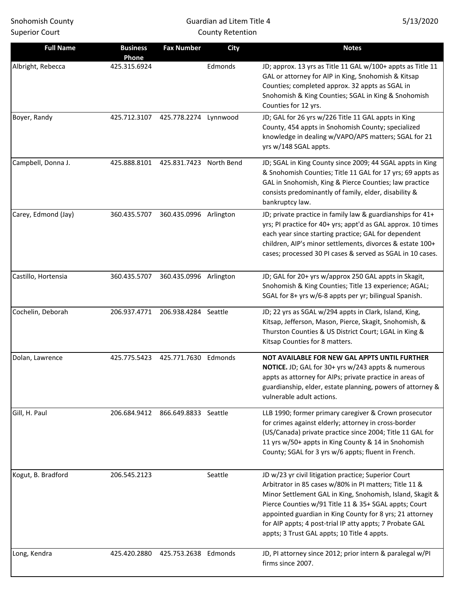# Guardian ad Litem Title 4 County Retention

| <b>Full Name</b>    | <b>Business</b><br>Phone | <b>Fax Number</b>       | <b>City</b> | <b>Notes</b>                                                                                                                                                                                                                                                                                                                                                                                                |
|---------------------|--------------------------|-------------------------|-------------|-------------------------------------------------------------------------------------------------------------------------------------------------------------------------------------------------------------------------------------------------------------------------------------------------------------------------------------------------------------------------------------------------------------|
| Albright, Rebecca   | 425.315.6924             |                         | Edmonds     | JD; approx. 13 yrs as Title 11 GAL w/100+ appts as Title 11<br>GAL or attorney for AIP in King, Snohomish & Kitsap<br>Counties; completed approx. 32 appts as SGAL in<br>Snohomish & King Counties; SGAL in King & Snohomish<br>Counties for 12 yrs.                                                                                                                                                        |
| Boyer, Randy        | 425.712.3107             | 425.778.2274 Lynnwood   |             | JD; GAL for 26 yrs w/226 Title 11 GAL appts in King<br>County, 454 appts in Snohomish County; specialized<br>knowledge in dealing w/VAPO/APS matters; SGAL for 21<br>yrs w/148 SGAL appts.                                                                                                                                                                                                                  |
| Campbell, Donna J.  | 425.888.8101             | 425.831.7423 North Bend |             | JD; SGAL in King County since 2009; 44 SGAL appts in King<br>& Snohomish Counties; Title 11 GAL for 17 yrs; 69 appts as<br>GAL in Snohomish, King & Pierce Counties; law practice<br>consists predominantly of family, elder, disability &<br>bankruptcy law.                                                                                                                                               |
| Carey, Edmond (Jay) | 360.435.5707             | 360.435.0996 Arlington  |             | JD; private practice in family law & guardianships for 41+<br>yrs; PI practice for 40+ yrs; appt'd as GAL approx. 10 times<br>each year since starting practice; GAL for dependent<br>children, AIP's minor settlements, divorces & estate 100+<br>cases; processed 30 PI cases & served as SGAL in 10 cases.                                                                                               |
| Castillo, Hortensia | 360.435.5707             | 360.435.0996 Arlington  |             | JD; GAL for 20+ yrs w/approx 250 GAL appts in Skagit,<br>Snohomish & King Counties; Title 13 experience; AGAL;<br>SGAL for 8+ yrs w/6-8 appts per yr; bilingual Spanish.                                                                                                                                                                                                                                    |
| Cochelin, Deborah   | 206.937.4771             | 206.938.4284 Seattle    |             | JD; 22 yrs as SGAL w/294 appts in Clark, Island, King,<br>Kitsap, Jefferson, Mason, Pierce, Skagit, Snohomish, &<br>Thurston Counties & US District Court; LGAL in King &<br>Kitsap Counties for 8 matters.                                                                                                                                                                                                 |
| Dolan, Lawrence     | 425.775.5423             | 425.771.7630 Edmonds    |             | NOT AVAILABLE FOR NEW GAL APPTS UNTIL FURTHER<br>NOTICE. JD; GAL for 30+ yrs w/243 appts & numerous<br>appts as attorney for AIPs; private practice in areas of<br>guardianship, elder, estate planning, powers of attorney &<br>vulnerable adult actions.                                                                                                                                                  |
| Gill, H. Paul       | 206.684.9412             | 866.649.8833 Seattle    |             | LLB 1990; former primary caregiver & Crown prosecutor<br>for crimes against elderly; attorney in cross-border<br>(US/Canada) private practice since 2004; Title 11 GAL for<br>11 yrs w/50+ appts in King County & 14 in Snohomish<br>County; SGAL for 3 yrs w/6 appts; fluent in French.                                                                                                                    |
| Kogut, B. Bradford  | 206.545.2123             |                         | Seattle     | JD w/23 yr civil litigation practice; Superior Court<br>Arbitrator in 85 cases w/80% in PI matters; Title 11 &<br>Minor Settlement GAL in King, Snohomish, Island, Skagit &<br>Pierce Counties w/91 Title 11 & 35+ SGAL appts; Court<br>appointed guardian in King County for 8 yrs; 21 attorney<br>for AIP appts; 4 post-trial IP atty appts; 7 Probate GAL<br>appts; 3 Trust GAL appts; 10 Title 4 appts. |
| Long, Kendra        | 425.420.2880             | 425.753.2638 Edmonds    |             | JD, PI attorney since 2012; prior intern & paralegal w/PI<br>firms since 2007.                                                                                                                                                                                                                                                                                                                              |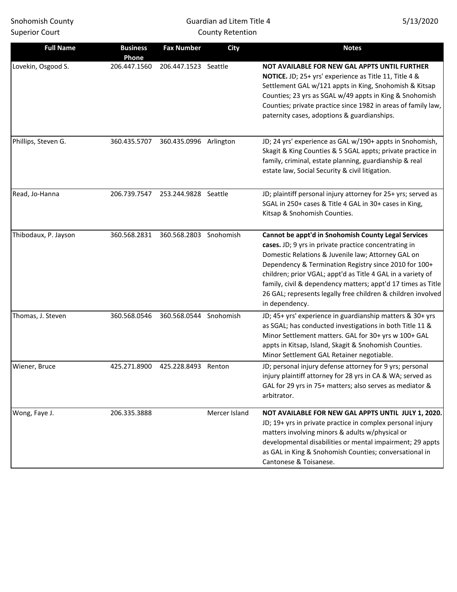| <b>Snohomish County</b><br><b>Superior Court</b> |                       |                        | Guardian ad Litem Title 4<br><b>County Retention</b> | 5/13/2020                                                                                                                                                                                                                                                                                                                                                                                                                                    |
|--------------------------------------------------|-----------------------|------------------------|------------------------------------------------------|----------------------------------------------------------------------------------------------------------------------------------------------------------------------------------------------------------------------------------------------------------------------------------------------------------------------------------------------------------------------------------------------------------------------------------------------|
| <b>Full Name</b>                                 | <b>Business</b>       | <b>Fax Number</b>      | <b>City</b>                                          | <b>Notes</b>                                                                                                                                                                                                                                                                                                                                                                                                                                 |
| Lovekin, Osgood S.                               | Phone<br>206.447.1560 | 206.447.1523 Seattle   |                                                      | NOT AVAILABLE FOR NEW GAL APPTS UNTIL FURTHER<br>NOTICE. JD; 25+ yrs' experience as Title 11, Title 4 &<br>Settlement GAL w/121 appts in King, Snohomish & Kitsap<br>Counties; 23 yrs as SGAL w/49 appts in King & Snohomish<br>Counties; private practice since 1982 in areas of family law,<br>paternity cases, adoptions & guardianships.                                                                                                 |
| Phillips, Steven G.                              | 360.435.5707          | 360.435.0996 Arlington |                                                      | JD; 24 yrs' experience as GAL w/190+ appts in Snohomish,<br>Skagit & King Counties & 5 SGAL appts; private practice in<br>family, criminal, estate planning, guardianship & real<br>estate law, Social Security & civil litigation.                                                                                                                                                                                                          |
| Read, Jo-Hanna                                   | 206.739.7547          | 253.244.9828 Seattle   |                                                      | JD; plaintiff personal injury attorney for 25+ yrs; served as<br>SGAL in 250+ cases & Title 4 GAL in 30+ cases in King,<br>Kitsap & Snohomish Counties.                                                                                                                                                                                                                                                                                      |
| Thibodaux, P. Jayson                             | 360.568.2831          | 360.568.2803 Snohomish |                                                      | Cannot be appt'd in Snohomish County Legal Services<br>cases. JD; 9 yrs in private practice concentrating in<br>Domestic Relations & Juvenile law; Attorney GAL on<br>Dependency & Termination Registry since 2010 for 100+<br>children; prior VGAL; appt'd as Title 4 GAL in a variety of<br>family, civil & dependency matters; appt'd 17 times as Title<br>26 GAL; represents legally free children & children involved<br>in dependency. |
| Thomas, J. Steven                                | 360.568.0546          | 360.568.0544 Snohomish |                                                      | JD; 45+ yrs' experience in guardianship matters & 30+ yrs<br>as SGAL; has conducted investigations in both Title 11 &<br>Minor Settlement matters. GAL for 30+ yrs w 100+ GAL<br>appts in Kitsap, Island, Skagit & Snohomish Counties.<br>Minor Settlement GAL Retainer negotiable.                                                                                                                                                          |
| Wiener, Bruce                                    | 425.271.8900          | 425.228.8493 Renton    |                                                      | JD; personal injury defense attorney for 9 yrs; personal<br>injury plaintiff attorney for 28 yrs in CA & WA; served as<br>GAL for 29 yrs in 75+ matters; also serves as mediator &<br>arbitrator.                                                                                                                                                                                                                                            |
| Wong, Faye J.                                    | 206.335.3888          |                        | Mercer Island                                        | NOT AVAILABLE FOR NEW GAL APPTS UNTIL JULY 1, 2020.<br>JD; 19+ yrs in private practice in complex personal injury<br>matters involving minors & adults w/physical or<br>developmental disabilities or mental impairment; 29 appts<br>as GAL in King & Snohomish Counties; conversational in                                                                                                                                                  |

Cantonese & Toisanese.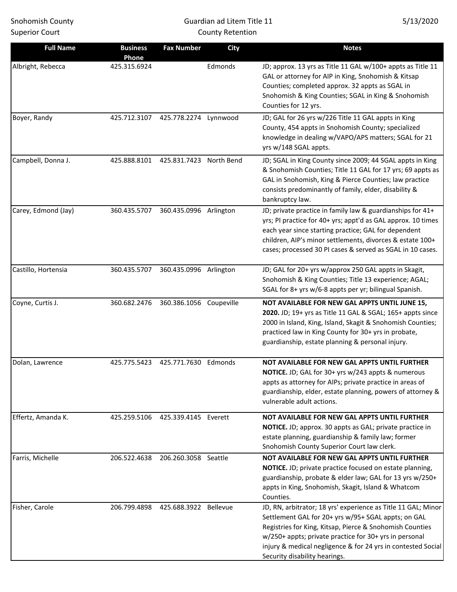# Guardian ad Litem Title 11 County Retention

| <b>Full Name</b>    | <b>Business</b><br>Phone | <b>Fax Number</b>       | <b>City</b> | <b>Notes</b>                                                                                                                                                                                                                                                                                                                                |
|---------------------|--------------------------|-------------------------|-------------|---------------------------------------------------------------------------------------------------------------------------------------------------------------------------------------------------------------------------------------------------------------------------------------------------------------------------------------------|
| Albright, Rebecca   | 425.315.6924             |                         | Edmonds     | JD; approx. 13 yrs as Title 11 GAL w/100+ appts as Title 11<br>GAL or attorney for AIP in King, Snohomish & Kitsap<br>Counties; completed approx. 32 appts as SGAL in<br>Snohomish & King Counties; SGAL in King & Snohomish<br>Counties for 12 yrs.                                                                                        |
| Boyer, Randy        | 425.712.3107             | 425.778.2274 Lynnwood   |             | JD; GAL for 26 yrs w/226 Title 11 GAL appts in King<br>County, 454 appts in Snohomish County; specialized<br>knowledge in dealing w/VAPO/APS matters; SGAL for 21<br>yrs w/148 SGAL appts.                                                                                                                                                  |
| Campbell, Donna J.  | 425.888.8101             | 425.831.7423 North Bend |             | JD; SGAL in King County since 2009; 44 SGAL appts in King<br>& Snohomish Counties; Title 11 GAL for 17 yrs; 69 appts as<br>GAL in Snohomish, King & Pierce Counties; law practice<br>consists predominantly of family, elder, disability &<br>bankruptcy law.                                                                               |
| Carey, Edmond (Jay) | 360.435.5707             | 360.435.0996 Arlington  |             | JD; private practice in family law & guardianships for 41+<br>yrs; PI practice for 40+ yrs; appt'd as GAL approx. 10 times<br>each year since starting practice; GAL for dependent<br>children, AIP's minor settlements, divorces & estate 100+<br>cases; processed 30 PI cases & served as SGAL in 10 cases.                               |
| Castillo, Hortensia | 360.435.5707             | 360.435.0996 Arlington  |             | JD; GAL for 20+ yrs w/approx 250 GAL appts in Skagit,<br>Snohomish & King Counties; Title 13 experience; AGAL;<br>SGAL for 8+ yrs w/6-8 appts per yr; bilingual Spanish.                                                                                                                                                                    |
| Coyne, Curtis J.    | 360.682.2476             | 360.386.1056 Coupeville |             | NOT AVAILABLE FOR NEW GAL APPTS UNTIL JUNE 15,<br>2020. JD; 19+ yrs as Title 11 GAL & SGAL; 165+ appts since<br>2000 in Island, King, Island, Skagit & Snohomish Counties;<br>practiced law in King County for 30+ yrs in probate,<br>guardianship, estate planning & personal injury.                                                      |
| Dolan, Lawrence     | 425.775.5423             | 425.771.7630            | Edmonds     | NOT AVAILABLE FOR NEW GAL APPTS UNTIL FURTHER<br>NOTICE. JD; GAL for 30+ yrs w/243 appts & numerous<br>appts as attorney for AIPs; private practice in areas of<br>guardianship, elder, estate planning, powers of attorney &<br>vulnerable adult actions.                                                                                  |
| Effertz, Amanda K.  | 425.259.5106             | 425.339.4145 Everett    |             | NOT AVAILABLE FOR NEW GAL APPTS UNTIL FURTHER<br>NOTICE. JD; approx. 30 appts as GAL; private practice in<br>estate planning, guardianship & family law; former<br>Snohomish County Superior Court law clerk.                                                                                                                               |
| Farris, Michelle    | 206.522.4638             | 206.260.3058 Seattle    |             | NOT AVAILABLE FOR NEW GAL APPTS UNTIL FURTHER<br>NOTICE. JD; private practice focused on estate planning,<br>guardianship, probate & elder law; GAL for 13 yrs w/250+<br>appts in King, Snohomish, Skagit, Island & Whatcom<br>Counties.                                                                                                    |
| Fisher, Carole      | 206.799.4898             | 425.688.3922 Bellevue   |             | JD, RN, arbitrator; 18 yrs' experience as Title 11 GAL; Minor<br>Settlement GAL for 20+ yrs w/95+ SGAL appts; on GAL<br>Registries for King, Kitsap, Pierce & Snohomish Counties<br>w/250+ appts; private practice for 30+ yrs in personal<br>injury & medical negligence & for 24 yrs in contested Social<br>Security disability hearings. |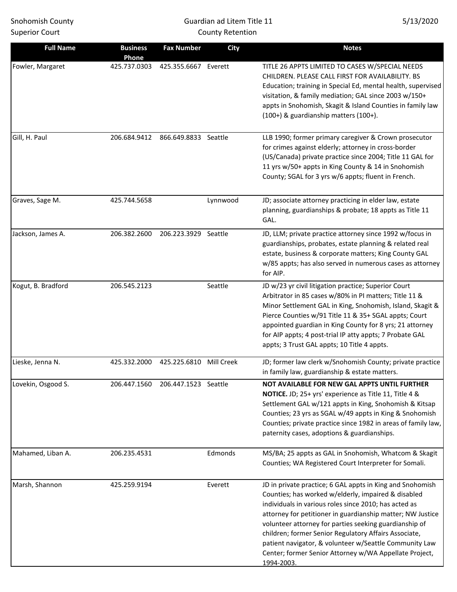# Guardian ad Litem Title 11 County Retention

| <b>Full Name</b>   | <b>Business</b><br>Phone | <b>Fax Number</b>    | <b>City</b> | <b>Notes</b>                                                                                                                                                                                                                                                                                                                                                                                                                                                                                 |
|--------------------|--------------------------|----------------------|-------------|----------------------------------------------------------------------------------------------------------------------------------------------------------------------------------------------------------------------------------------------------------------------------------------------------------------------------------------------------------------------------------------------------------------------------------------------------------------------------------------------|
| Fowler, Margaret   | 425.737.0303             | 425.355.6667 Everett |             | TITLE 26 APPTS LIMITED TO CASES W/SPECIAL NEEDS<br>CHILDREN. PLEASE CALL FIRST FOR AVAILABILITY. BS<br>Education; training in Special Ed, mental health, supervised<br>visitation, & family mediation; GAL since 2003 w/150+<br>appts in Snohomish, Skagit & Island Counties in family law<br>(100+) & guardianship matters (100+).                                                                                                                                                          |
| Gill, H. Paul      | 206.684.9412             | 866.649.8833 Seattle |             | LLB 1990; former primary caregiver & Crown prosecutor<br>for crimes against elderly; attorney in cross-border<br>(US/Canada) private practice since 2004; Title 11 GAL for<br>11 yrs w/50+ appts in King County & 14 in Snohomish<br>County; SGAL for 3 yrs w/6 appts; fluent in French.                                                                                                                                                                                                     |
| Graves, Sage M.    | 425.744.5658             |                      | Lynnwood    | JD; associate attorney practicing in elder law, estate<br>planning, guardianships & probate; 18 appts as Title 11<br>GAL.                                                                                                                                                                                                                                                                                                                                                                    |
| Jackson, James A.  | 206.382.2600             | 206.223.3929 Seattle |             | JD, LLM; private practice attorney since 1992 w/focus in<br>guardianships, probates, estate planning & related real<br>estate, business & corporate matters; King County GAL<br>w/85 appts; has also served in numerous cases as attorney<br>for AIP.                                                                                                                                                                                                                                        |
| Kogut, B. Bradford | 206.545.2123             |                      | Seattle     | JD w/23 yr civil litigation practice; Superior Court<br>Arbitrator in 85 cases w/80% in PI matters; Title 11 &<br>Minor Settlement GAL in King, Snohomish, Island, Skagit &<br>Pierce Counties w/91 Title 11 & 35+ SGAL appts; Court<br>appointed guardian in King County for 8 yrs; 21 attorney<br>for AIP appts; 4 post-trial IP atty appts; 7 Probate GAL<br>appts; 3 Trust GAL appts; 10 Title 4 appts.                                                                                  |
| Lieske, Jenna N.   | 425.332.2000             | 425.225.6810         | Mill Creek  | JD; former law clerk w/Snohomish County; private practice<br>in family law, guardianship & estate matters.                                                                                                                                                                                                                                                                                                                                                                                   |
| Lovekin, Osgood S. | 206.447.1560             | 206.447.1523 Seattle |             | NOT AVAILABLE FOR NEW GAL APPTS UNTIL FURTHER<br>NOTICE. JD; 25+ yrs' experience as Title 11, Title 4 &<br>Settlement GAL w/121 appts in King, Snohomish & Kitsap<br>Counties; 23 yrs as SGAL w/49 appts in King & Snohomish<br>Counties; private practice since 1982 in areas of family law,<br>paternity cases, adoptions & guardianships.                                                                                                                                                 |
| Mahamed, Liban A.  | 206.235.4531             |                      | Edmonds     | MS/BA; 25 appts as GAL in Snohomish, Whatcom & Skagit<br>Counties; WA Registered Court Interpreter for Somali.                                                                                                                                                                                                                                                                                                                                                                               |
| Marsh, Shannon     | 425.259.9194             |                      | Everett     | JD in private practice; 6 GAL appts in King and Snohomish<br>Counties; has worked w/elderly, impaired & disabled<br>individuals in various roles since 2010; has acted as<br>attorney for petitioner in guardianship matter; NW Justice<br>volunteer attorney for parties seeking guardianship of<br>children; former Senior Regulatory Affairs Associate,<br>patient navigator, & volunteer w/Seattle Community Law<br>Center; former Senior Attorney w/WA Appellate Project,<br>1994-2003. |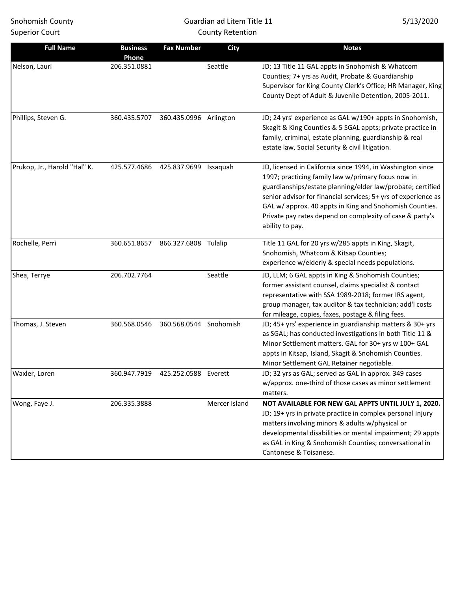# Guardian ad Litem Title 11 County Retention

| <b>Full Name</b>             | <b>Business</b><br>Phone | <b>Fax Number</b>                   | <b>City</b>   | <b>Notes</b>                                                                                                                                                                                                                                                                                                                                                                               |
|------------------------------|--------------------------|-------------------------------------|---------------|--------------------------------------------------------------------------------------------------------------------------------------------------------------------------------------------------------------------------------------------------------------------------------------------------------------------------------------------------------------------------------------------|
| Nelson, Lauri                | 206.351.0881             |                                     | Seattle       | JD; 13 Title 11 GAL appts in Snohomish & Whatcom<br>Counties; 7+ yrs as Audit, Probate & Guardianship<br>Supervisor for King County Clerk's Office; HR Manager, King<br>County Dept of Adult & Juvenile Detention, 2005-2011.                                                                                                                                                              |
| Phillips, Steven G.          | 360.435.5707             | 360.435.0996 Arlington              |               | JD; 24 yrs' experience as GAL w/190+ appts in Snohomish,<br>Skagit & King Counties & 5 SGAL appts; private practice in<br>family, criminal, estate planning, guardianship & real<br>estate law, Social Security & civil litigation.                                                                                                                                                        |
| Prukop, Jr., Harold "Hal" K. | 425.577.4686             | 425.837.9699                        | Issaquah      | JD, licensed in California since 1994, in Washington since<br>1997; practicing family law w/primary focus now in<br>guardianships/estate planning/elder law/probate; certified<br>senior advisor for financial services; 5+ yrs of experience as<br>GAL w/ approx. 40 appts in King and Snohomish Counties.<br>Private pay rates depend on complexity of case & party's<br>ability to pay. |
| Rochelle, Perri              | 360.651.8657             | 866.327.6808 Tulalip                |               | Title 11 GAL for 20 yrs w/285 appts in King, Skagit,<br>Snohomish, Whatcom & Kitsap Counties;<br>experience w/elderly & special needs populations.                                                                                                                                                                                                                                         |
| Shea, Terrye                 | 206.702.7764             |                                     | Seattle       | JD, LLM; 6 GAL appts in King & Snohomish Counties;<br>former assistant counsel, claims specialist & contact<br>representative with SSA 1989-2018; former IRS agent,<br>group manager, tax auditor & tax technician; add'l costs<br>for mileage, copies, faxes, postage & filing fees.                                                                                                      |
| Thomas, J. Steven            | 360.568.0546             | 360.568.0544                        | Snohomish     | JD; 45+ yrs' experience in guardianship matters & 30+ yrs<br>as SGAL; has conducted investigations in both Title 11 &<br>Minor Settlement matters. GAL for 30+ yrs w 100+ GAL<br>appts in Kitsap, Island, Skagit & Snohomish Counties.<br>Minor Settlement GAL Retainer negotiable.                                                                                                        |
| Waxler, Loren                |                          | 360.947.7919  425.252.0588  Everett |               | JD; 32 yrs as GAL; served as GAL in approx. 349 cases<br>w/approx. one-third of those cases as minor settlement<br>matters.                                                                                                                                                                                                                                                                |
| Wong, Faye J.                | 206.335.3888             |                                     | Mercer Island | NOT AVAILABLE FOR NEW GAL APPTS UNTIL JULY 1, 2020.<br>JD; 19+ yrs in private practice in complex personal injury<br>matters involving minors & adults w/physical or<br>developmental disabilities or mental impairment; 29 appts<br>as GAL in King & Snohomish Counties; conversational in<br>Cantonese & Toisanese.                                                                      |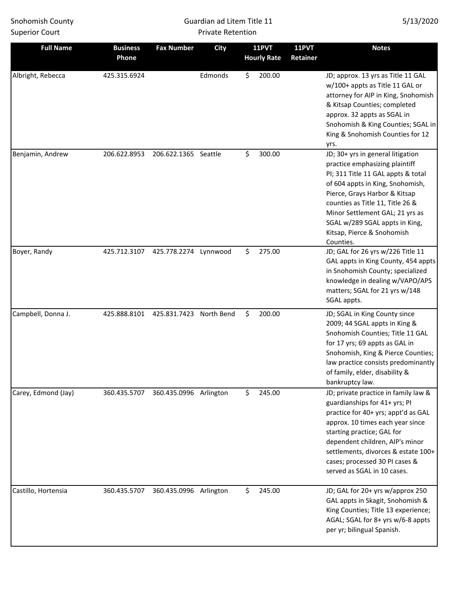### Guardian ad Litem Title 11 Private Retention

| <b>Full Name</b>    | <b>Business</b><br>Phone | <b>Fax Number</b>      | <b>City</b> | <b>11PVT</b><br><b>Hourly Rate</b> | <b>11PVT</b><br>Retainer | <b>Notes</b>                                                                                                                                                                                                                                                                                                                       |
|---------------------|--------------------------|------------------------|-------------|------------------------------------|--------------------------|------------------------------------------------------------------------------------------------------------------------------------------------------------------------------------------------------------------------------------------------------------------------------------------------------------------------------------|
| Albright, Rebecca   | 425.315.6924             |                        | Edmonds     | \$<br>200.00                       |                          | JD; approx. 13 yrs as Title 11 GAL<br>w/100+ appts as Title 11 GAL or<br>attorney for AIP in King, Snohomish<br>& Kitsap Counties; completed<br>approx. 32 appts as SGAL in<br>Snohomish & King Counties; SGAL in<br>King & Snohomish Counties for 12<br>yrs.                                                                      |
| Benjamin, Andrew    | 206.622.8953             | 206.622.1365 Seattle   |             | \$<br>300.00                       |                          | JD; 30+ yrs in general litigation<br>practice emphasizing plaintiff<br>PI; 311 Title 11 GAL appts & total<br>of 604 appts in King, Snohomish,<br>Pierce, Grays Harbor & Kitsap<br>counties as Title 11, Title 26 &<br>Minor Settlement GAL; 21 yrs as<br>SGAL w/289 SGAL appts in King,<br>Kitsap, Pierce & Snohomish<br>Counties. |
| Boyer, Randy        | 425.712.3107             | 425.778.2274 Lynnwood  |             | \$<br>275.00                       |                          | JD; GAL for 26 yrs w/226 Title 11<br>GAL appts in King County, 454 appts<br>in Snohomish County; specialized<br>knowledge in dealing w/VAPO/APS<br>matters; SGAL for 21 yrs w/148<br>SGAL appts.                                                                                                                                   |
| Campbell, Donna J.  | 425.888.8101             | 425.831.7423           | North Bend  | \$<br>200.00                       |                          | JD; SGAL in King County since<br>2009; 44 SGAL appts in King &<br>Snohomish Counties; Title 11 GAL<br>for 17 yrs; 69 appts as GAL in<br>Snohomish, King & Pierce Counties;<br>law practice consists predominantly<br>of family, elder, disability &<br>bankruptcy law.                                                             |
| Carey, Edmond (Jay) | 360.435.5707             | 360.435.0996 Arlington |             | \$<br>245.00                       |                          | JD; private practice in family law &<br>guardianships for 41+ yrs; PI<br>practice for 40+ yrs; appt'd as GAL<br>approx. 10 times each year since<br>starting practice; GAL for<br>dependent children, AIP's minor<br>settlements, divorces & estate 100+<br>cases; processed 30 PI cases &<br>served as SGAL in 10 cases.          |
| Castillo, Hortensia | 360.435.5707             | 360.435.0996 Arlington |             | \$<br>245.00                       |                          | JD; GAL for 20+ yrs w/approx 250<br>GAL appts in Skagit, Snohomish &<br>King Counties; Title 13 experience;<br>AGAL; SGAL for 8+ yrs w/6-8 appts<br>per yr; bilingual Spanish.                                                                                                                                                     |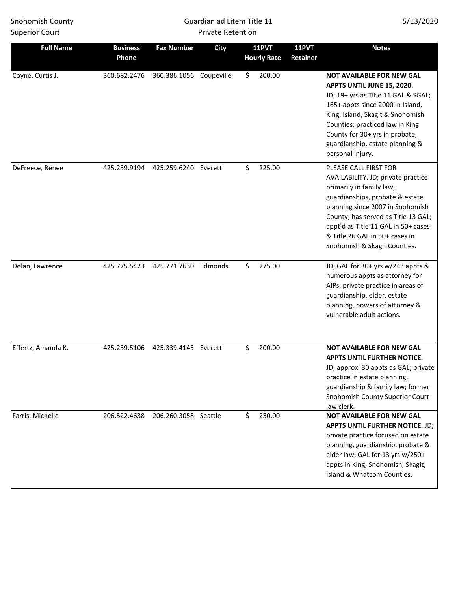### Guardian ad Litem Title 11 Private Retention

| <b>Full Name</b>   | <b>Business</b><br>Phone | <b>Fax Number</b>       | <b>City</b> | <b>11PVT</b><br><b>Hourly Rate</b> | <b>11PVT</b><br>Retainer | <b>Notes</b>                                                                                                                                                                                                                                                                                                   |
|--------------------|--------------------------|-------------------------|-------------|------------------------------------|--------------------------|----------------------------------------------------------------------------------------------------------------------------------------------------------------------------------------------------------------------------------------------------------------------------------------------------------------|
| Coyne, Curtis J.   | 360.682.2476             | 360.386.1056 Coupeville |             | \$<br>200.00                       |                          | <b>NOT AVAILABLE FOR NEW GAL</b><br>APPTS UNTIL JUNE 15, 2020.<br>JD; 19+ yrs as Title 11 GAL & SGAL;<br>165+ appts since 2000 in Island,<br>King, Island, Skagit & Snohomish<br>Counties; practiced law in King<br>County for 30+ yrs in probate,<br>guardianship, estate planning &<br>personal injury.      |
| DeFreece, Renee    | 425.259.9194             | 425.259.6240 Everett    |             | \$<br>225.00                       |                          | PLEASE CALL FIRST FOR<br>AVAILABILITY. JD; private practice<br>primarily in family law,<br>guardianships, probate & estate<br>planning since 2007 in Snohomish<br>County; has served as Title 13 GAL;<br>appt'd as Title 11 GAL in 50+ cases<br>& Title 26 GAL in 50+ cases in<br>Snohomish & Skagit Counties. |
| Dolan, Lawrence    | 425.775.5423             | 425.771.7630 Edmonds    |             | \$<br>275.00                       |                          | JD; GAL for 30+ yrs w/243 appts &<br>numerous appts as attorney for<br>AIPs; private practice in areas of<br>guardianship, elder, estate<br>planning, powers of attorney &<br>vulnerable adult actions.                                                                                                        |
| Effertz, Amanda K. | 425.259.5106             | 425.339.4145            | Everett     | \$<br>200.00                       |                          | <b>NOT AVAILABLE FOR NEW GAL</b><br><b>APPTS UNTIL FURTHER NOTICE.</b><br>JD; approx. 30 appts as GAL; private<br>practice in estate planning,<br>guardianship & family law; former<br>Snohomish County Superior Court<br>law clerk.                                                                           |
| Farris, Michelle   | 206.522.4638             | 206.260.3058 Seattle    |             | \$<br>250.00                       |                          | <b>NOT AVAILABLE FOR NEW GAL</b><br><b>APPTS UNTIL FURTHER NOTICE. JD;</b><br>private practice focused on estate<br>planning, guardianship, probate &<br>elder law; GAL for 13 yrs w/250+<br>appts in King, Snohomish, Skagit,<br>Island & Whatcom Counties.                                                   |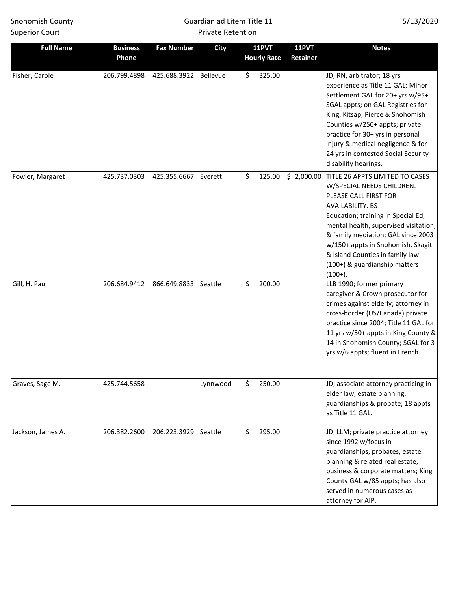### Guardian ad Litem Title 11 Private Retention

| <b>Full Name</b>  | <b>Business</b><br>Phone | <b>Fax Number</b>     | <b>City</b> | <b>11PVT</b><br><b>Hourly Rate</b> | <b>11PVT</b><br>Retainer | <b>Notes</b>                                                                                                                                                                                                                                                                                                                                                      |
|-------------------|--------------------------|-----------------------|-------------|------------------------------------|--------------------------|-------------------------------------------------------------------------------------------------------------------------------------------------------------------------------------------------------------------------------------------------------------------------------------------------------------------------------------------------------------------|
| Fisher, Carole    | 206.799.4898             | 425.688.3922 Bellevue |             | \$<br>325.00                       |                          | JD, RN, arbitrator; 18 yrs'<br>experience as Title 11 GAL; Minor<br>Settlement GAL for 20+ yrs w/95+<br>SGAL appts; on GAL Registries for<br>King, Kitsap, Pierce & Snohomish<br>Counties w/250+ appts; private<br>practice for 30+ yrs in personal<br>injury & medical negligence & for<br>24 yrs in contested Social Security<br>disability hearings.           |
| Fowler, Margaret  | 425.737.0303             | 425.355.6667 Everett  |             | \$<br>125.00                       |                          | \$ 2,000.00 TITLE 26 APPTS LIMITED TO CASES<br>W/SPECIAL NEEDS CHILDREN.<br>PLEASE CALL FIRST FOR<br>AVAILABILITY. BS<br>Education; training in Special Ed,<br>mental health, supervised visitation,<br>& family mediation; GAL since 2003<br>w/150+ appts in Snohomish, Skagit<br>& Island Counties in family law<br>(100+) & guardianship matters<br>$(100+)$ . |
| Gill, H. Paul     | 206.684.9412             | 866.649.8833 Seattle  |             | \$<br>200.00                       |                          | LLB 1990; former primary<br>caregiver & Crown prosecutor for<br>crimes against elderly; attorney in<br>cross-border (US/Canada) private<br>practice since 2004; Title 11 GAL for<br>11 yrs w/50+ appts in King County &<br>14 in Snohomish County; SGAL for 3<br>yrs w/6 appts; fluent in French.                                                                 |
| Graves, Sage M.   | 425.744.5658             |                       | Lynnwood    | \$<br>250.00                       |                          | JD; associate attorney practicing in<br>elder law, estate planning,<br>guardianships & probate; 18 appts<br>as Title 11 GAL.                                                                                                                                                                                                                                      |
| Jackson, James A. | 206.382.2600             | 206.223.3929 Seattle  |             | \$<br>295.00                       |                          | JD, LLM; private practice attorney<br>since 1992 w/focus in<br>guardianships, probates, estate<br>planning & related real estate,<br>business & corporate matters; King<br>County GAL w/85 appts; has also<br>served in numerous cases as<br>attorney for AIP.                                                                                                    |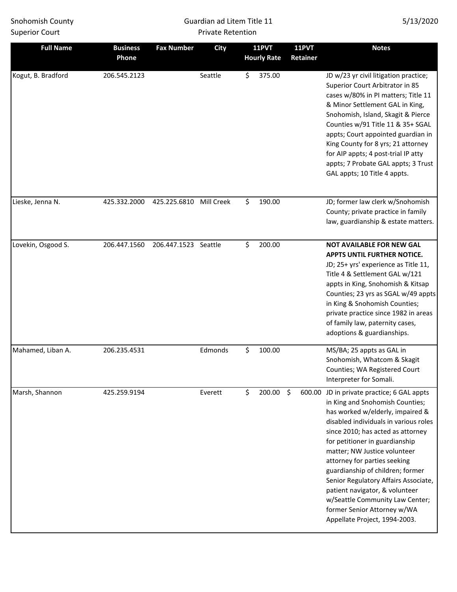### Guardian ad Litem Title 11 Private Retention

| <b>Full Name</b>   | <b>Business</b><br>Phone | <b>Fax Number</b>    | City       | <b>11PVT</b><br><b>Hourly Rate</b> | <b>11PVT</b><br>Retainer | <b>Notes</b>                                                                                                                                                                                                                                                                                                                                                                                                                                                                                                       |
|--------------------|--------------------------|----------------------|------------|------------------------------------|--------------------------|--------------------------------------------------------------------------------------------------------------------------------------------------------------------------------------------------------------------------------------------------------------------------------------------------------------------------------------------------------------------------------------------------------------------------------------------------------------------------------------------------------------------|
| Kogut, B. Bradford | 206.545.2123             |                      | Seattle    | \$<br>375.00                       |                          | JD w/23 yr civil litigation practice;<br>Superior Court Arbitrator in 85<br>cases w/80% in PI matters; Title 11<br>& Minor Settlement GAL in King,<br>Snohomish, Island, Skagit & Pierce<br>Counties w/91 Title 11 & 35+ SGAL<br>appts; Court appointed guardian in<br>King County for 8 yrs; 21 attorney<br>for AIP appts; 4 post-trial IP atty<br>appts; 7 Probate GAL appts; 3 Trust<br>GAL appts; 10 Title 4 appts.                                                                                            |
| Lieske, Jenna N.   | 425.332.2000             | 425.225.6810         | Mill Creek | \$<br>190.00                       |                          | JD; former law clerk w/Snohomish<br>County; private practice in family<br>law, guardianship & estate matters.                                                                                                                                                                                                                                                                                                                                                                                                      |
| Lovekin, Osgood S. | 206.447.1560             | 206.447.1523 Seattle |            | \$<br>200.00                       |                          | <b>NOT AVAILABLE FOR NEW GAL</b><br>APPTS UNTIL FURTHER NOTICE.<br>JD; 25+ yrs' experience as Title 11,<br>Title 4 & Settlement GAL w/121<br>appts in King, Snohomish & Kitsap<br>Counties; 23 yrs as SGAL w/49 appts<br>in King & Snohomish Counties;<br>private practice since 1982 in areas<br>of family law, paternity cases,<br>adoptions & guardianships.                                                                                                                                                    |
| Mahamed, Liban A.  | 206.235.4531             |                      | Edmonds    | \$<br>100.00                       |                          | MS/BA; 25 appts as GAL in<br>Snohomish, Whatcom & Skagit<br>Counties; WA Registered Court<br>Interpreter for Somali.                                                                                                                                                                                                                                                                                                                                                                                               |
| Marsh, Shannon     | 425.259.9194             |                      | Everett    | \$<br>200.00                       | $\ddot{\varsigma}$       | 600.00 JD in private practice; 6 GAL appts<br>in King and Snohomish Counties;<br>has worked w/elderly, impaired &<br>disabled individuals in various roles<br>since 2010; has acted as attorney<br>for petitioner in guardianship<br>matter; NW Justice volunteer<br>attorney for parties seeking<br>guardianship of children; former<br>Senior Regulatory Affairs Associate,<br>patient navigator, & volunteer<br>w/Seattle Community Law Center;<br>former Senior Attorney w/WA<br>Appellate Project, 1994-2003. |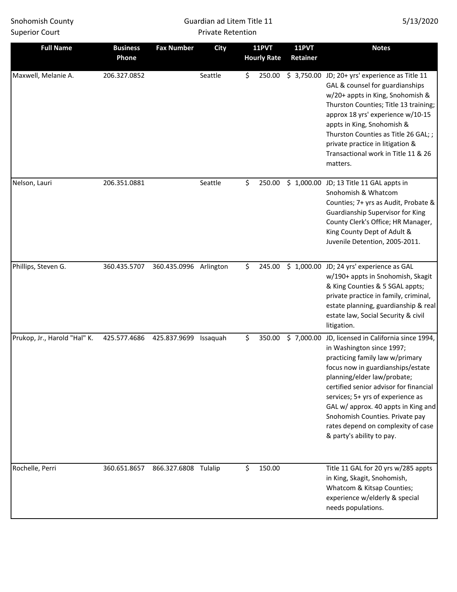### Guardian ad Litem Title 11 Private Retention

| <b>Full Name</b>             | <b>Business</b><br>Phone | <b>Fax Number</b>      | <b>City</b> | <b>11PVT</b><br><b>Hourly Rate</b> | 11PVT<br>Retainer | <b>Notes</b>                                                                                                                                                                                                                                                                                                                                                                                                      |
|------------------------------|--------------------------|------------------------|-------------|------------------------------------|-------------------|-------------------------------------------------------------------------------------------------------------------------------------------------------------------------------------------------------------------------------------------------------------------------------------------------------------------------------------------------------------------------------------------------------------------|
| Maxwell, Melanie A.          | 206.327.0852             |                        | Seattle     | \$<br>250.00                       |                   | $$3,750.00$ JD; 20+ yrs' experience as Title 11<br>GAL & counsel for guardianships<br>w/20+ appts in King, Snohomish &<br>Thurston Counties; Title 13 training;<br>approx 18 yrs' experience w/10-15<br>appts in King, Snohomish &<br>Thurston Counties as Title 26 GAL; ;<br>private practice in litigation &<br>Transactional work in Title 11 & 26<br>matters.                                                 |
| Nelson, Lauri                | 206.351.0881             |                        | Seattle     | \$<br>250.00                       |                   | \$ 1,000.00 JD; 13 Title 11 GAL appts in<br>Snohomish & Whatcom<br>Counties; 7+ yrs as Audit, Probate &<br>Guardianship Supervisor for King<br>County Clerk's Office; HR Manager,<br>King County Dept of Adult &<br>Juvenile Detention, 2005-2011.                                                                                                                                                                |
| Phillips, Steven G.          | 360.435.5707             | 360.435.0996 Arlington |             | \$<br>245.00                       |                   | \$1,000.00 JD; 24 yrs' experience as GAL<br>w/190+ appts in Snohomish, Skagit<br>& King Counties & 5 SGAL appts;<br>private practice in family, criminal,<br>estate planning, guardianship & real<br>estate law, Social Security & civil<br>litigation.                                                                                                                                                           |
| Prukop, Jr., Harold "Hal" K. | 425.577.4686             | 425.837.9699           | Issaquah    | \$<br>350.00                       |                   | \$7,000.00 JD, licensed in California since 1994,<br>in Washington since 1997;<br>practicing family law w/primary<br>focus now in guardianships/estate<br>planning/elder law/probate;<br>certified senior advisor for financial<br>services; 5+ yrs of experience as<br>GAL w/ approx. 40 appts in King and<br>Snohomish Counties. Private pay<br>rates depend on complexity of case<br>& party's ability to pay. |
| Rochelle, Perri              | 360.651.8657             | 866.327.6808 Tulalip   |             | \$<br>150.00                       |                   | Title 11 GAL for 20 yrs w/285 appts<br>in King, Skagit, Snohomish,<br>Whatcom & Kitsap Counties;<br>experience w/elderly & special<br>needs populations.                                                                                                                                                                                                                                                          |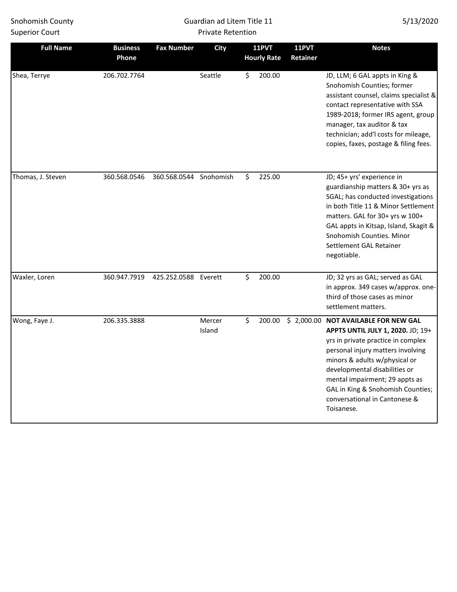### Guardian ad Litem Title 11 Private Retention

| <b>Full Name</b>  | <b>Business</b><br>Phone | <b>Fax Number</b>      | <b>City</b>      | <b>11PVT</b><br><b>Hourly Rate</b> | <b>11PVT</b><br>Retainer | <b>Notes</b>                                                                                                                                                                                                                                                                                                                                 |
|-------------------|--------------------------|------------------------|------------------|------------------------------------|--------------------------|----------------------------------------------------------------------------------------------------------------------------------------------------------------------------------------------------------------------------------------------------------------------------------------------------------------------------------------------|
| Shea, Terrye      | 206.702.7764             |                        | Seattle          | \$<br>200.00                       |                          | JD, LLM; 6 GAL appts in King &<br>Snohomish Counties; former<br>assistant counsel, claims specialist &<br>contact representative with SSA<br>1989-2018; former IRS agent, group<br>manager, tax auditor & tax<br>technician; add'l costs for mileage,<br>copies, faxes, postage & filing fees.                                               |
| Thomas, J. Steven | 360.568.0546             | 360.568.0544 Snohomish |                  | \$<br>225.00                       |                          | JD; 45+ yrs' experience in<br>guardianship matters & 30+ yrs as<br>SGAL; has conducted investigations<br>in both Title 11 & Minor Settlement<br>matters. GAL for 30+ yrs w 100+<br>GAL appts in Kitsap, Island, Skagit &<br>Snohomish Counties. Minor<br>Settlement GAL Retainer<br>negotiable.                                              |
| Waxler, Loren     | 360.947.7919             | 425.252.0588 Everett   |                  | \$<br>200.00                       |                          | JD; 32 yrs as GAL; served as GAL<br>in approx. 349 cases w/approx. one-<br>third of those cases as minor<br>settlement matters.                                                                                                                                                                                                              |
| Wong, Faye J.     | 206.335.3888             |                        | Mercer<br>Island | \$<br>200.00                       |                          | \$2,000.00 NOT AVAILABLE FOR NEW GAL<br>APPTS UNTIL JULY 1, 2020. JD; 19+<br>yrs in private practice in complex<br>personal injury matters involving<br>minors & adults w/physical or<br>developmental disabilities or<br>mental impairment; 29 appts as<br>GAL in King & Snohomish Counties;<br>conversational in Cantonese &<br>Toisanese. |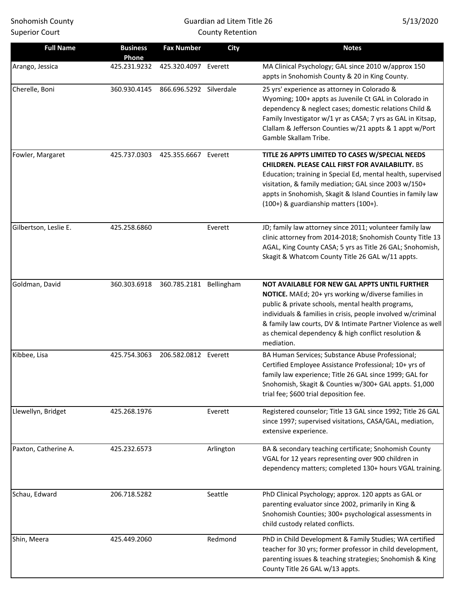# Guardian ad Litem Title 26 County Retention

| <b>Full Name</b>      | <b>Business</b><br>Phone | <b>Fax Number</b>       | <b>City</b> | <b>Notes</b>                                                                                                                                                                                                                                                                                                                                                  |
|-----------------------|--------------------------|-------------------------|-------------|---------------------------------------------------------------------------------------------------------------------------------------------------------------------------------------------------------------------------------------------------------------------------------------------------------------------------------------------------------------|
| Arango, Jessica       | 425.231.9232             | 425.320.4097 Everett    |             | MA Clinical Psychology; GAL since 2010 w/approx 150<br>appts in Snohomish County & 20 in King County.                                                                                                                                                                                                                                                         |
| Cherelle, Boni        | 360.930.4145             | 866.696.5292 Silverdale |             | 25 yrs' experience as attorney in Colorado &<br>Wyoming; 100+ appts as Juvenile Ct GAL in Colorado in<br>dependency & neglect cases; domestic relations Child &<br>Family Investigator w/1 yr as CASA; 7 yrs as GAL in Kitsap,<br>Clallam & Jefferson Counties w/21 appts & 1 appt w/Port<br>Gamble Skallam Tribe.                                            |
| Fowler, Margaret      | 425.737.0303             | 425.355.6667 Everett    |             | TITLE 26 APPTS LIMITED TO CASES W/SPECIAL NEEDS<br><b>CHILDREN. PLEASE CALL FIRST FOR AVAILABILITY. BS</b><br>Education; training in Special Ed, mental health, supervised<br>visitation, & family mediation; GAL since 2003 w/150+<br>appts in Snohomish, Skagit & Island Counties in family law<br>(100+) & guardianship matters (100+).                    |
| Gilbertson, Leslie E. | 425.258.6860             |                         | Everett     | JD; family law attorney since 2011; volunteer family law<br>clinic attorney from 2014-2018; Snohomish County Title 13<br>AGAL, King County CASA; 5 yrs as Title 26 GAL; Snohomish,<br>Skagit & Whatcom County Title 26 GAL w/11 appts.                                                                                                                        |
| Goldman, David        | 360.303.6918             | 360.785.2181 Bellingham |             | NOT AVAILABLE FOR NEW GAL APPTS UNTIL FURTHER<br>NOTICE. MAEd; 20+ yrs working w/diverse families in<br>public & private schools, mental health programs,<br>individuals & families in crisis, people involved w/criminal<br>& family law courts, DV & Intimate Partner Violence as well<br>as chemical dependency & high conflict resolution &<br>mediation. |
| Kibbee, Lisa          | 425.754.3063             | 206.582.0812 Everett    |             | BA Human Services; Substance Abuse Professional;<br>Certified Employee Assistance Professional; 10+ yrs of<br>family law experience; Title 26 GAL since 1999; GAL for<br>Snohomish, Skagit & Counties w/300+ GAL appts. \$1,000<br>trial fee; \$600 trial deposition fee.                                                                                     |
| Llewellyn, Bridget    | 425.268.1976             |                         | Everett     | Registered counselor; Title 13 GAL since 1992; Title 26 GAL<br>since 1997; supervised visitations, CASA/GAL, mediation,<br>extensive experience.                                                                                                                                                                                                              |
| Paxton, Catherine A.  | 425.232.6573             |                         | Arlington   | BA & secondary teaching certificate; Snohomish County<br>VGAL for 12 years representing over 900 children in<br>dependency matters; completed 130+ hours VGAL training.                                                                                                                                                                                       |
| Schau, Edward         | 206.718.5282             |                         | Seattle     | PhD Clinical Psychology; approx. 120 appts as GAL or<br>parenting evaluator since 2002, primarily in King &<br>Snohomish Counties; 300+ psychological assessments in<br>child custody related conflicts.                                                                                                                                                      |
| Shin, Meera           | 425.449.2060             |                         | Redmond     | PhD in Child Development & Family Studies; WA certified<br>teacher for 30 yrs; former professor in child development,<br>parenting issues & teaching strategies; Snohomish & King<br>County Title 26 GAL w/13 appts.                                                                                                                                          |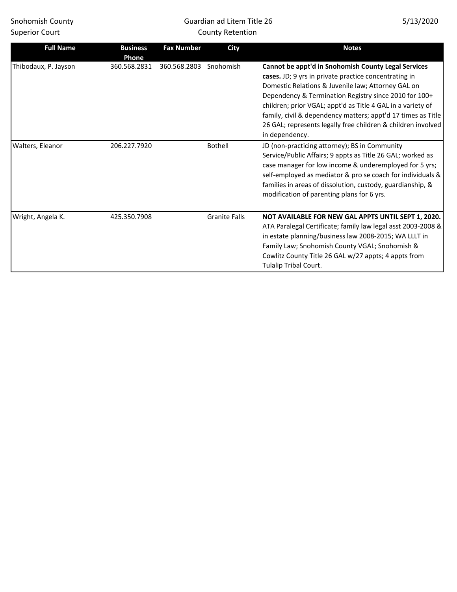# Guardian ad Litem Title 26 County Retention

| 5/13/2020 |  |
|-----------|--|
|-----------|--|

| <b>Full Name</b>     | <b>Business</b><br>Phone | <b>Fax Number</b> | City                 | <b>Notes</b>                                                                                                                                                                                                                                                                                                                                                                                                                                 |
|----------------------|--------------------------|-------------------|----------------------|----------------------------------------------------------------------------------------------------------------------------------------------------------------------------------------------------------------------------------------------------------------------------------------------------------------------------------------------------------------------------------------------------------------------------------------------|
| Thibodaux, P. Jayson | 360.568.2831             | 360.568.2803      | Snohomish            | Cannot be appt'd in Snohomish County Legal Services<br>cases. JD; 9 yrs in private practice concentrating in<br>Domestic Relations & Juvenile law; Attorney GAL on<br>Dependency & Termination Registry since 2010 for 100+<br>children; prior VGAL; appt'd as Title 4 GAL in a variety of<br>family, civil & dependency matters; appt'd 17 times as Title<br>26 GAL; represents legally free children & children involved<br>in dependency. |
| Walters, Eleanor     | 206.227.7920             |                   | <b>Bothell</b>       | JD (non-practicing attorney); BS in Community<br>Service/Public Affairs; 9 appts as Title 26 GAL; worked as<br>case manager for low income & underemployed for 5 yrs;<br>self-employed as mediator & pro se coach for individuals &<br>families in areas of dissolution, custody, guardianship, &<br>modification of parenting plans for 6 yrs.                                                                                              |
| Wright, Angela K.    | 425.350.7908             |                   | <b>Granite Falls</b> | NOT AVAILABLE FOR NEW GAL APPTS UNTIL SEPT 1, 2020.<br>ATA Paralegal Certificate; family law legal asst 2003-2008 &<br>in estate planning/business law 2008-2015; WA LLLT in<br>Family Law; Snohomish County VGAL; Snohomish &<br>Cowlitz County Title 26 GAL w/27 appts; 4 appts from<br>Tulalip Tribal Court.                                                                                                                              |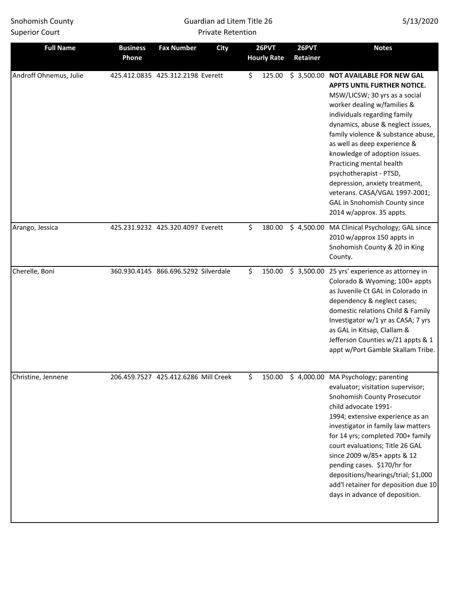### Guardian ad Litem Title 26 Private Retention

| <b>Full Name</b>       | <b>Business</b><br>Phone | <b>Fax Number</b>                    | <b>City</b> | 26PVT<br><b>Hourly Rate</b> | 26PVT<br>Retainer | <b>Notes</b>                                                                                                                                                                                                                                                                                                                                                                                                                                                                                                   |
|------------------------|--------------------------|--------------------------------------|-------------|-----------------------------|-------------------|----------------------------------------------------------------------------------------------------------------------------------------------------------------------------------------------------------------------------------------------------------------------------------------------------------------------------------------------------------------------------------------------------------------------------------------------------------------------------------------------------------------|
| Androff Ohnemus, Julie |                          | 425.412.0835 425.312.2198 Everett    |             | \$<br>125.00                |                   | \$3,500.00 NOT AVAILABLE FOR NEW GAL<br><b>APPTS UNTIL FURTHER NOTICE.</b><br>MSW/LICSW; 30 yrs as a social<br>worker dealing w/families &<br>individuals regarding family<br>dynamics, abuse & neglect issues,<br>family violence & substance abuse,<br>as well as deep experience &<br>knowledge of adoption issues.<br>Practicing mental health<br>psychotherapist - PTSD,<br>depression, anxiety treatment,<br>veterans. CASA/VGAL 1997-2001;<br>GAL in Snohomish County since<br>2014 w/approx. 35 appts. |
| Arango, Jessica        |                          | 425.231.9232 425.320.4097 Everett    |             | \$<br>180.00                |                   | \$ 4,500.00 MA Clinical Psychology; GAL since<br>2010 w/approx 150 appts in<br>Snohomish County & 20 in King<br>County.                                                                                                                                                                                                                                                                                                                                                                                        |
| Cherelle, Boni         |                          | 360.930.4145 866.696.5292 Silverdale |             | \$<br>150.00                |                   | \$3,500.00 25 yrs' experience as attorney in<br>Colorado & Wyoming; 100+ appts<br>as Juvenile Ct GAL in Colorado in<br>dependency & neglect cases;<br>domestic relations Child & Family<br>Investigator w/1 yr as CASA; 7 yrs<br>as GAL in Kitsap, Clallam &<br>Jefferson Counties w/21 appts & 1<br>appt w/Port Gamble Skallam Tribe.                                                                                                                                                                         |
| Christine, Jennene     |                          | 206.459.7527 425.412.6286 Mill Creek |             | \$                          |                   | 150.00 \$ 4,000.00 MA Psychology; parenting<br>evaluator; visitation supervisor;<br>Snohomish County Prosecutor<br>child advocate 1991-<br>1994; extensive experience as an<br>investigator in family law matters<br>for 14 yrs; completed 700+ family<br>court evaluations; Title 26 GAL<br>since 2009 w/85+ appts & 12<br>pending cases. \$170/hr for<br>depositions/hearings/trial; \$1,000<br>add'I retainer for deposition due 10<br>days in advance of deposition.                                       |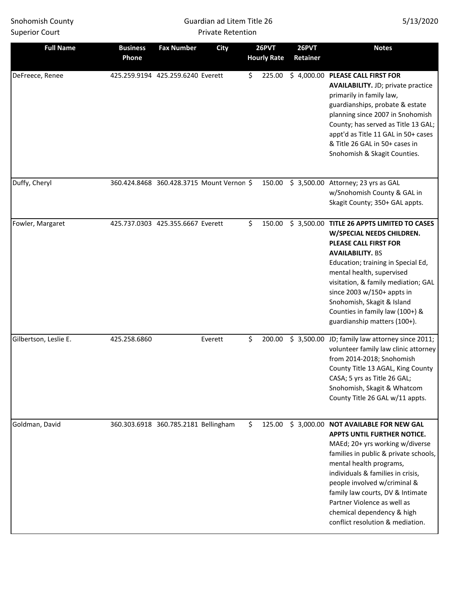### Guardian ad Litem Title 26 Private Retention

| <b>Full Name</b>      | <b>Business</b><br>Phone | <b>Fax Number</b>                    | <b>City</b>                               | 26PVT<br><b>Hourly Rate</b> | 26PVT<br>Retainer | <b>Notes</b>                                                                                                                                                                                                                                                                                                                                                                                |
|-----------------------|--------------------------|--------------------------------------|-------------------------------------------|-----------------------------|-------------------|---------------------------------------------------------------------------------------------------------------------------------------------------------------------------------------------------------------------------------------------------------------------------------------------------------------------------------------------------------------------------------------------|
| DeFreece, Renee       |                          | 425.259.9194 425.259.6240 Everett    |                                           | \$<br>225.00                |                   | \$4,000.00 PLEASE CALL FIRST FOR<br><b>AVAILABILITY.</b> JD; private practice<br>primarily in family law,<br>guardianships, probate & estate<br>planning since 2007 in Snohomish<br>County; has served as Title 13 GAL;<br>appt'd as Title 11 GAL in 50+ cases<br>& Title 26 GAL in 50+ cases in<br>Snohomish & Skagit Counties.                                                            |
| Duffy, Cheryl         |                          |                                      | 360.424.8468 360.428.3715 Mount Vernon \$ | 150.00                      |                   | $$3,500.00$ Attorney; 23 yrs as GAL<br>w/Snohomish County & GAL in<br>Skagit County; 350+ GAL appts.                                                                                                                                                                                                                                                                                        |
| Fowler, Margaret      |                          | 425.737.0303 425.355.6667 Everett    |                                           | \$<br>150.00                |                   | \$3,500.00 TITLE 26 APPTS LIMITED TO CASES<br>W/SPECIAL NEEDS CHILDREN.<br><b>PLEASE CALL FIRST FOR</b><br><b>AVAILABILITY. BS</b><br>Education; training in Special Ed,<br>mental health, supervised<br>visitation, & family mediation; GAL<br>since 2003 w/150+ appts in<br>Snohomish, Skagit & Island<br>Counties in family law (100+) &<br>guardianship matters (100+).                 |
| Gilbertson, Leslie E. | 425.258.6860             |                                      | Everett                                   | \$<br>200.00                |                   | \$ 3,500.00 JD; family law attorney since 2011;<br>volunteer family law clinic attorney<br>from 2014-2018; Snohomish<br>County Title 13 AGAL, King County<br>CASA; 5 yrs as Title 26 GAL;<br>Snohomish, Skagit & Whatcom<br>County Title 26 GAL w/11 appts.                                                                                                                                 |
| Goldman, David        |                          | 360.303.6918 360.785.2181 Bellingham |                                           | \$<br>125.00                |                   | \$3,000.00 NOT AVAILABLE FOR NEW GAL<br><b>APPTS UNTIL FURTHER NOTICE.</b><br>MAEd; 20+ yrs working w/diverse<br>families in public & private schools,<br>mental health programs,<br>individuals & families in crisis,<br>people involved w/criminal &<br>family law courts, DV & Intimate<br>Partner Violence as well as<br>chemical dependency & high<br>conflict resolution & mediation. |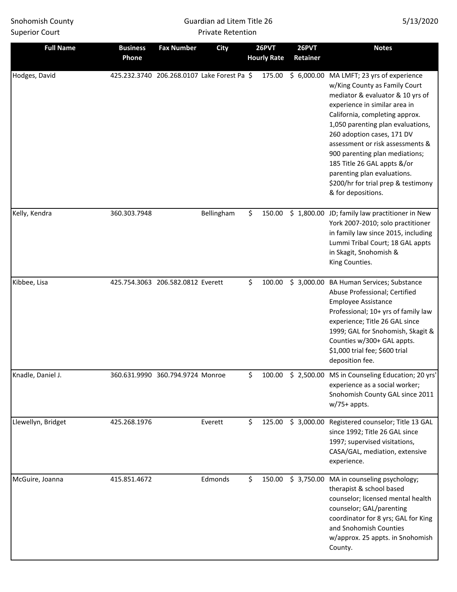Guardian ad Litem Title 26 Private Retention

| <b>Full Name</b>   | <b>Business</b><br>Phone          | <b>Fax Number</b>                | <b>City</b>                                 | 26PVT<br><b>Hourly Rate</b> | 26PVT<br>Retainer | <b>Notes</b>                                                                                                                                                                                                                                                                                                                                                                                                                                          |
|--------------------|-----------------------------------|----------------------------------|---------------------------------------------|-----------------------------|-------------------|-------------------------------------------------------------------------------------------------------------------------------------------------------------------------------------------------------------------------------------------------------------------------------------------------------------------------------------------------------------------------------------------------------------------------------------------------------|
| Hodges, David      |                                   |                                  | 425.232.3740 206.268.0107 Lake Forest Pa \$ | 175.00                      |                   | \$ 6,000.00 MA LMFT; 23 yrs of experience<br>w/King County as Family Court<br>mediator & evaluator & 10 yrs of<br>experience in similar area in<br>California, completing approx.<br>1,050 parenting plan evaluations,<br>260 adoption cases, 171 DV<br>assessment or risk assessments &<br>900 parenting plan mediations;<br>185 Title 26 GAL appts &/or<br>parenting plan evaluations.<br>\$200/hr for trial prep & testimony<br>& for depositions. |
| Kelly, Kendra      | 360.303.7948                      |                                  | Bellingham                                  | \$<br>150.00                |                   | \$1,800.00 JD; family law practitioner in New<br>York 2007-2010; solo practitioner<br>in family law since 2015, including<br>Lummi Tribal Court; 18 GAL appts<br>in Skagit, Snohomish &<br>King Counties.                                                                                                                                                                                                                                             |
| Kibbee, Lisa       | 425.754.3063 206.582.0812 Everett |                                  |                                             | \$<br>100.00                |                   | \$ 3,000.00 BA Human Services; Substance<br>Abuse Professional; Certified<br><b>Employee Assistance</b><br>Professional; 10+ yrs of family law<br>experience; Title 26 GAL since<br>1999; GAL for Snohomish, Skagit &<br>Counties w/300+ GAL appts.<br>\$1,000 trial fee; \$600 trial<br>deposition fee.                                                                                                                                              |
| Knadle, Daniel J.  |                                   | 360.631.9990 360.794.9724 Monroe |                                             | \$                          |                   | 100.00 \$ 2,500.00 MS in Counseling Education; 20 yrs<br>experience as a social worker;<br>Snohomish County GAL since 2011<br>$w/75+$ appts.                                                                                                                                                                                                                                                                                                          |
| Llewellyn, Bridget | 425.268.1976                      |                                  | Everett                                     | \$<br>125.00                |                   | \$ 3,000.00 Registered counselor; Title 13 GAL<br>since 1992; Title 26 GAL since<br>1997; supervised visitations,<br>CASA/GAL, mediation, extensive<br>experience.                                                                                                                                                                                                                                                                                    |
| McGuire, Joanna    | 415.851.4672                      |                                  | Edmonds                                     | \$<br>150.00                |                   | \$ 3,750.00 MA in counseling psychology;<br>therapist & school based<br>counselor; licensed mental health<br>counselor; GAL/parenting<br>coordinator for 8 yrs; GAL for King<br>and Snohomish Counties<br>w/approx. 25 appts. in Snohomish<br>County.                                                                                                                                                                                                 |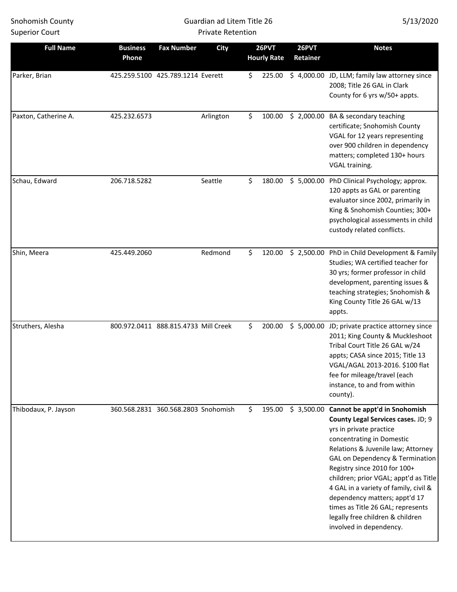### Guardian ad Litem Title 26 Private Retention

| <b>Full Name</b>     | <b>Business</b>                      | <b>Fax Number</b> | <b>City</b> |     | 26PVT              | 26PVT      | <b>Notes</b>                                                                                                                                                                                                                                                                                                                                                                                                                                                                   |
|----------------------|--------------------------------------|-------------------|-------------|-----|--------------------|------------|--------------------------------------------------------------------------------------------------------------------------------------------------------------------------------------------------------------------------------------------------------------------------------------------------------------------------------------------------------------------------------------------------------------------------------------------------------------------------------|
|                      | Phone                                |                   |             |     | <b>Hourly Rate</b> | Retainer   |                                                                                                                                                                                                                                                                                                                                                                                                                                                                                |
| Parker, Brian        | 425.259.5100 425.789.1214 Everett    |                   |             | \$  | 225.00             |            | \$4,000.00 JD, LLM; family law attorney since<br>2008; Title 26 GAL in Clark<br>County for 6 yrs w/50+ appts.                                                                                                                                                                                                                                                                                                                                                                  |
| Paxton, Catherine A. | 425.232.6573                         |                   | Arlington   | \$. | 100.00             |            | \$2,000.00 BA & secondary teaching<br>certificate; Snohomish County<br>VGAL for 12 years representing<br>over 900 children in dependency<br>matters; completed 130+ hours<br>VGAL training.                                                                                                                                                                                                                                                                                    |
| Schau, Edward        | 206.718.5282                         |                   | Seattle     | \$  | 180.00             | \$5,000.00 | PhD Clinical Psychology; approx.<br>120 appts as GAL or parenting<br>evaluator since 2002, primarily in<br>King & Snohomish Counties; 300+<br>psychological assessments in child<br>custody related conflicts.                                                                                                                                                                                                                                                                 |
| Shin, Meera          | 425.449.2060                         |                   | Redmond     | \$  | 120.00             | \$2,500.00 | PhD in Child Development & Family<br>Studies; WA certified teacher for<br>30 yrs; former professor in child<br>development, parenting issues &<br>teaching strategies; Snohomish &<br>King County Title 26 GAL w/13<br>appts.                                                                                                                                                                                                                                                  |
| Struthers, Alesha    | 800.972.0411 888.815.4733 Mill Creek |                   |             | \$  | 200.00             |            | \$ 5,000.00 JD; private practice attorney since<br>2011; King County & Muckleshoot<br>Tribal Court Title 26 GAL w/24<br>appts; CASA since 2015; Title 13<br>VGAL/AGAL 2013-2016. \$100 flat<br>fee for mileage/travel (each<br>instance, to and from within<br>county).                                                                                                                                                                                                        |
| Thibodaux, P. Jayson | 360.568.2831 360.568.2803 Snohomish  |                   |             | \$  |                    |            | 195.00 \$ 3,500.00 Cannot be appt'd in Snohomish<br>County Legal Services cases. JD; 9<br>yrs in private practice<br>concentrating in Domestic<br>Relations & Juvenile law; Attorney<br>GAL on Dependency & Termination<br>Registry since 2010 for 100+<br>children; prior VGAL; appt'd as Title<br>4 GAL in a variety of family, civil &<br>dependency matters; appt'd 17<br>times as Title 26 GAL; represents<br>legally free children & children<br>involved in dependency. |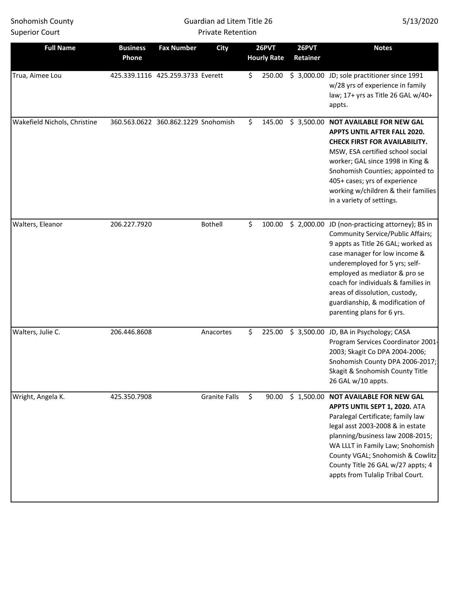### Guardian ad Litem Title 26 Private Retention

| <b>Full Name</b>             | <b>Business</b><br>Phone | <b>Fax Number</b>                   | <b>City</b>          | 26PVT<br><b>Hourly Rate</b> | 26PVT<br>Retainer | <b>Notes</b>                                                                                                                                                                                                                                                                                                                                                                   |
|------------------------------|--------------------------|-------------------------------------|----------------------|-----------------------------|-------------------|--------------------------------------------------------------------------------------------------------------------------------------------------------------------------------------------------------------------------------------------------------------------------------------------------------------------------------------------------------------------------------|
| Trua, Aimee Lou              |                          | 425.339.1116 425.259.3733 Everett   |                      | \$<br>250.00                |                   | \$3,000.00 JD; sole practitioner since 1991<br>w/28 yrs of experience in family<br>law; 17+ yrs as Title 26 GAL w/40+<br>appts.                                                                                                                                                                                                                                                |
| Wakefield Nichols, Christine |                          | 360.563.0622 360.862.1229 Snohomish |                      | \$<br>145.00                |                   | \$3,500.00 NOT AVAILABLE FOR NEW GAL<br>APPTS UNTIL AFTER FALL 2020.<br><b>CHECK FIRST FOR AVAILABILITY.</b><br>MSW, ESA certified school social<br>worker; GAL since 1998 in King &<br>Snohomish Counties; appointed to<br>405+ cases; yrs of experience<br>working w/children & their families<br>in a variety of settings.                                                  |
| Walters, Eleanor             | 206.227.7920             |                                     | <b>Bothell</b>       | \$<br>100.00                |                   | \$2,000.00 JD (non-practicing attorney); BS in<br><b>Community Service/Public Affairs;</b><br>9 appts as Title 26 GAL; worked as<br>case manager for low income &<br>underemployed for 5 yrs; self-<br>employed as mediator & pro se<br>coach for individuals & families in<br>areas of dissolution, custody,<br>guardianship, & modification of<br>parenting plans for 6 yrs. |
| Walters, Julie C.            | 206.446.8608             |                                     | Anacortes            | \$<br>225.00                |                   | \$3,500.00 JD, BA in Psychology; CASA<br>Program Services Coordinator 2001-<br>2003; Skagit Co DPA 2004-2006;<br>Snohomish County DPA 2006-2017;<br>Skagit & Snohomish County Title<br>26 GAL w/10 appts.                                                                                                                                                                      |
| Wright, Angela K.            | 425.350.7908             |                                     | <b>Granite Falls</b> | \$<br>90.00                 |                   | \$1,500.00 NOT AVAILABLE FOR NEW GAL<br>APPTS UNTIL SEPT 1, 2020. ATA<br>Paralegal Certificate; family law<br>legal asst 2003-2008 & in estate<br>planning/business law 2008-2015;<br>WA LLLT in Family Law; Snohomish<br>County VGAL; Snohomish & Cowlitz<br>County Title 26 GAL w/27 appts; 4<br>appts from Tulalip Tribal Court.                                            |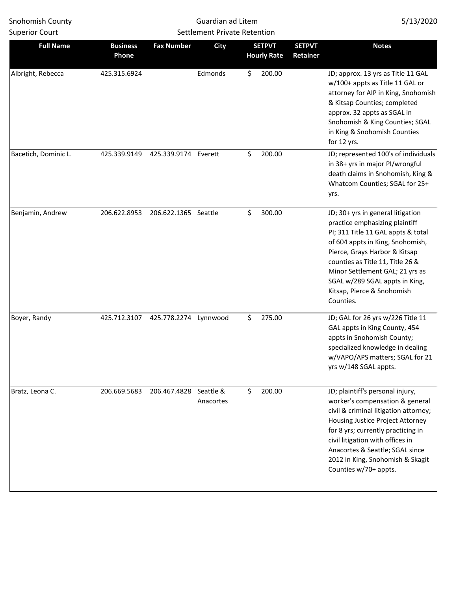ш

| <b>Full Name</b>     | <b>Business</b><br>Phone | <b>Fax Number</b>    | <b>City</b>            | <b>SETPVT</b><br><b>SETPVT</b><br><b>Hourly Rate</b><br>Retainer |  | <b>Notes</b>                                                                                                                                                                                                                                                                                                                       |
|----------------------|--------------------------|----------------------|------------------------|------------------------------------------------------------------|--|------------------------------------------------------------------------------------------------------------------------------------------------------------------------------------------------------------------------------------------------------------------------------------------------------------------------------------|
| Albright, Rebecca    | 425.315.6924             |                      | Edmonds                | \$<br>200.00                                                     |  | JD; approx. 13 yrs as Title 11 GAL<br>w/100+ appts as Title 11 GAL or<br>attorney for AIP in King, Snohomish<br>& Kitsap Counties; completed<br>approx. 32 appts as SGAL in<br>Snohomish & King Counties; SGAL<br>in King & Snohomish Counties<br>for 12 yrs.                                                                      |
| Bacetich, Dominic L. | 425.339.9149             | 425.339.9174 Everett |                        | \$<br>200.00                                                     |  | JD; represented 100's of individuals<br>in 38+ yrs in major Pl/wrongful<br>death claims in Snohomish, King &<br>Whatcom Counties; SGAL for 25+<br>yrs.                                                                                                                                                                             |
| Benjamin, Andrew     | 206.622.8953             | 206.622.1365 Seattle |                        | \$<br>300.00                                                     |  | JD; 30+ yrs in general litigation<br>practice emphasizing plaintiff<br>PI; 311 Title 11 GAL appts & total<br>of 604 appts in King, Snohomish,<br>Pierce, Grays Harbor & Kitsap<br>counties as Title 11, Title 26 &<br>Minor Settlement GAL; 21 yrs as<br>SGAL w/289 SGAL appts in King,<br>Kitsap, Pierce & Snohomish<br>Counties. |
| Boyer, Randy         | 425.712.3107             | 425.778.2274         | Lynnwood               | \$<br>275.00                                                     |  | JD; GAL for 26 yrs w/226 Title 11<br>GAL appts in King County, 454<br>appts in Snohomish County;<br>specialized knowledge in dealing<br>w/VAPO/APS matters; SGAL for 21<br>yrs w/148 SGAL appts.                                                                                                                                   |
| Bratz, Leona C.      | 206.669.5683             | 206.467.4828         | Seattle &<br>Anacortes | \$<br>200.00                                                     |  | JD; plaintiff's personal injury,<br>worker's compensation & general<br>civil & criminal litigation attorney;<br>Housing Justice Project Attorney<br>for 8 yrs; currently practicing in<br>civil litigation with offices in<br>Anacortes & Seattle; SGAL since<br>2012 in King, Snohomish & Skagit<br>Counties w/70+ appts.         |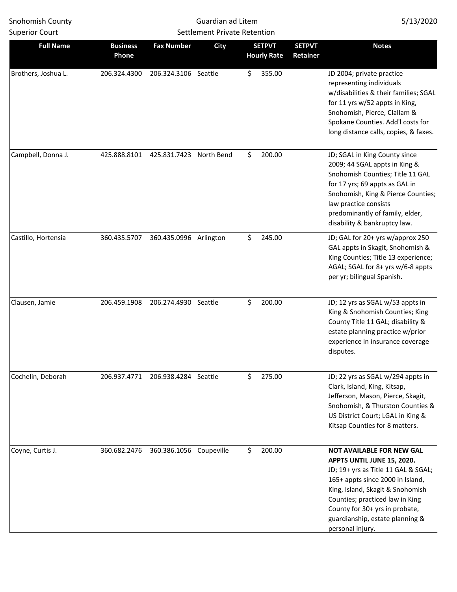| <b>Superior Court</b> |                          |                         | <b>Settlement Private Retention</b> |                                     |                           |                                                                                                                                                                                                                                                                                                           |
|-----------------------|--------------------------|-------------------------|-------------------------------------|-------------------------------------|---------------------------|-----------------------------------------------------------------------------------------------------------------------------------------------------------------------------------------------------------------------------------------------------------------------------------------------------------|
| <b>Full Name</b>      | <b>Business</b><br>Phone | <b>Fax Number</b>       | <b>City</b>                         | <b>SETPVT</b><br><b>Hourly Rate</b> | <b>SETPVT</b><br>Retainer | <b>Notes</b>                                                                                                                                                                                                                                                                                              |
| Brothers, Joshua L.   | 206.324.4300             | 206.324.3106 Seattle    |                                     | \$<br>355.00                        |                           | JD 2004; private practice<br>representing individuals<br>w/disabilities & their families; SGAL<br>for 11 yrs w/52 appts in King,<br>Snohomish, Pierce, Clallam &<br>Spokane Counties. Add'l costs for<br>long distance calls, copies, & faxes.                                                            |
| Campbell, Donna J.    | 425.888.8101             | 425.831.7423            | North Bend                          | \$<br>200.00                        |                           | JD; SGAL in King County since<br>2009; 44 SGAL appts in King &<br>Snohomish Counties; Title 11 GAL<br>for 17 yrs; 69 appts as GAL in<br>Snohomish, King & Pierce Counties;<br>law practice consists<br>predominantly of family, elder,<br>disability & bankruptcy law.                                    |
| Castillo, Hortensia   | 360.435.5707             | 360.435.0996 Arlington  |                                     | \$<br>245.00                        |                           | JD; GAL for 20+ yrs w/approx 250<br>GAL appts in Skagit, Snohomish &<br>King Counties; Title 13 experience;<br>AGAL; SGAL for 8+ yrs w/6-8 appts<br>per yr; bilingual Spanish.                                                                                                                            |
| Clausen, Jamie        | 206.459.1908             | 206.274.4930 Seattle    |                                     | \$<br>200.00                        |                           | JD; 12 yrs as SGAL w/53 appts in<br>King & Snohomish Counties; King<br>County Title 11 GAL; disability &<br>estate planning practice w/prior<br>experience in insurance coverage<br>disputes.                                                                                                             |
| Cochelin, Deborah     | 206.937.4771             | 206.938.4284 Seattle    |                                     | \$<br>275.00                        |                           | JD; 22 yrs as SGAL w/294 appts in<br>Clark, Island, King, Kitsap,<br>Jefferson, Mason, Pierce, Skagit,<br>Snohomish, & Thurston Counties &<br>US District Court; LGAL in King &<br>Kitsap Counties for 8 matters.                                                                                         |
| Coyne, Curtis J.      | 360.682.2476             | 360.386.1056 Coupeville |                                     | \$<br>200.00                        |                           | <b>NOT AVAILABLE FOR NEW GAL</b><br>APPTS UNTIL JUNE 15, 2020.<br>JD; 19+ yrs as Title 11 GAL & SGAL;<br>165+ appts since 2000 in Island,<br>King, Island, Skagit & Snohomish<br>Counties; practiced law in King<br>County for 30+ yrs in probate,<br>guardianship, estate planning &<br>personal injury. |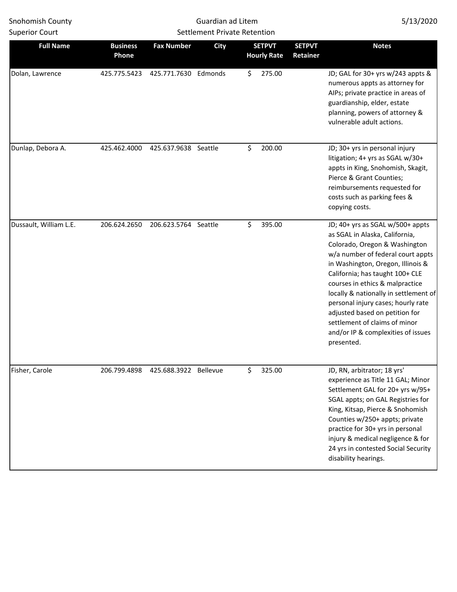| <b>Full Name</b>       | <b>Business</b><br>Phone | <b>Fax Number</b>    | <b>City</b>     | <b>SETPVT</b><br><b>SETPVT</b><br><b>Hourly Rate</b><br>Retainer |  | <b>Notes</b>                                                                                                                                                                                                                                                                                                                                                                                                                                              |
|------------------------|--------------------------|----------------------|-----------------|------------------------------------------------------------------|--|-----------------------------------------------------------------------------------------------------------------------------------------------------------------------------------------------------------------------------------------------------------------------------------------------------------------------------------------------------------------------------------------------------------------------------------------------------------|
| Dolan, Lawrence        | 425.775.5423             | 425.771.7630         | Edmonds         | \$<br>275.00                                                     |  | JD; GAL for 30+ yrs w/243 appts &<br>numerous appts as attorney for<br>AIPs; private practice in areas of<br>guardianship, elder, estate<br>planning, powers of attorney &<br>vulnerable adult actions.                                                                                                                                                                                                                                                   |
| Dunlap, Debora A.      | 425.462.4000             | 425.637.9638 Seattle |                 | \$<br>200.00                                                     |  | JD; 30+ yrs in personal injury<br>litigation; 4+ yrs as SGAL w/30+<br>appts in King, Snohomish, Skagit,<br>Pierce & Grant Counties;<br>reimbursements requested for<br>costs such as parking fees &<br>copying costs.                                                                                                                                                                                                                                     |
| Dussault, William L.E. | 206.624.2650             | 206.623.5764 Seattle |                 | \$<br>395.00                                                     |  | JD; 40+ yrs as SGAL w/500+ appts<br>as SGAL in Alaska, California,<br>Colorado, Oregon & Washington<br>w/a number of federal court appts<br>in Washington, Oregon, Illinois &<br>California; has taught 100+ CLE<br>courses in ethics & malpractice<br>locally & nationally in settlement of<br>personal injury cases; hourly rate<br>adjusted based on petition for<br>settlement of claims of minor<br>and/or IP & complexities of issues<br>presented. |
| Fisher, Carole         | 206.799.4898             | 425.688.3922         | <b>Bellevue</b> | \$<br>325.00                                                     |  | JD, RN, arbitrator; 18 yrs'<br>experience as Title 11 GAL; Minor<br>Settlement GAL for 20+ yrs w/95+<br>SGAL appts; on GAL Registries for<br>King, Kitsap, Pierce & Snohomish<br>Counties w/250+ appts; private<br>practice for 30+ yrs in personal<br>injury & medical negligence & for<br>24 yrs in contested Social Security<br>disability hearings.                                                                                                   |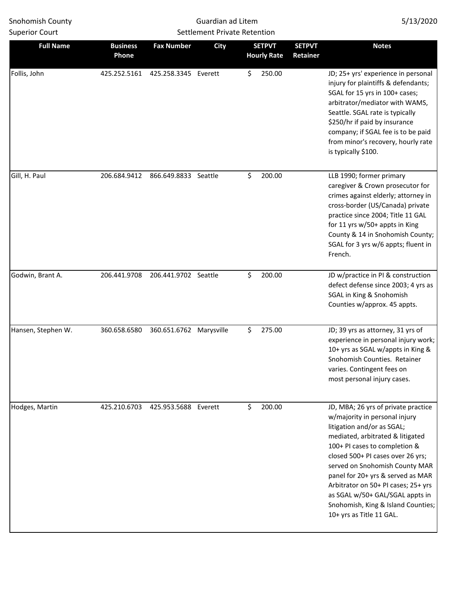| <b>Full Name</b>   | <b>Business</b><br>Phone | <b>Fax Number</b>       | <b>City</b> | <b>SETPVT</b><br><b>Hourly Rate</b> | <b>SETPVT</b><br>Retainer | <b>Notes</b>                                                                                                                                                                                                                                                                                                                                                                                                                    |
|--------------------|--------------------------|-------------------------|-------------|-------------------------------------|---------------------------|---------------------------------------------------------------------------------------------------------------------------------------------------------------------------------------------------------------------------------------------------------------------------------------------------------------------------------------------------------------------------------------------------------------------------------|
| Follis, John       | 425.252.5161             | 425.258.3345 Everett    |             | \$<br>250.00                        |                           | JD; 25+ yrs' experience in personal<br>injury for plaintiffs & defendants;<br>SGAL for 15 yrs in 100+ cases;<br>arbitrator/mediator with WAMS,<br>Seattle. SGAL rate is typically<br>\$250/hr if paid by insurance<br>company; if SGAL fee is to be paid<br>from minor's recovery, hourly rate<br>is typically \$100.                                                                                                           |
| Gill, H. Paul      | 206.684.9412             | 866.649.8833 Seattle    |             | \$<br>200.00                        |                           | LLB 1990; former primary<br>caregiver & Crown prosecutor for<br>crimes against elderly; attorney in<br>cross-border (US/Canada) private<br>practice since 2004; Title 11 GAL<br>for 11 yrs w/50+ appts in King<br>County & 14 in Snohomish County;<br>SGAL for 3 yrs w/6 appts; fluent in<br>French.                                                                                                                            |
| Godwin, Brant A.   | 206.441.9708             | 206.441.9702 Seattle    |             | \$<br>200.00                        |                           | JD w/practice in PI & construction<br>defect defense since 2003; 4 yrs as<br>SGAL in King & Snohomish<br>Counties w/approx. 45 appts.                                                                                                                                                                                                                                                                                           |
| Hansen, Stephen W. | 360.658.6580             | 360.651.6762 Marysville |             | \$<br>275.00                        |                           | JD; 39 yrs as attorney, 31 yrs of<br>experience in personal injury work;<br>10+ yrs as SGAL w/appts in King &<br>Snohomish Counties. Retainer<br>varies. Contingent fees on<br>most personal injury cases.                                                                                                                                                                                                                      |
| Hodges, Martin     | 425.210.6703             | 425.953.5688 Everett    |             | \$<br>200.00                        |                           | JD, MBA; 26 yrs of private practice<br>w/majority in personal injury<br>litigation and/or as SGAL;<br>mediated, arbitrated & litigated<br>100+ PI cases to completion &<br>closed 500+ PI cases over 26 yrs;<br>served on Snohomish County MAR<br>panel for 20+ yrs & served as MAR<br>Arbitrator on 50+ PI cases; 25+ yrs<br>as SGAL w/50+ GAL/SGAL appts in<br>Snohomish, King & Island Counties;<br>10+ yrs as Title 11 GAL. |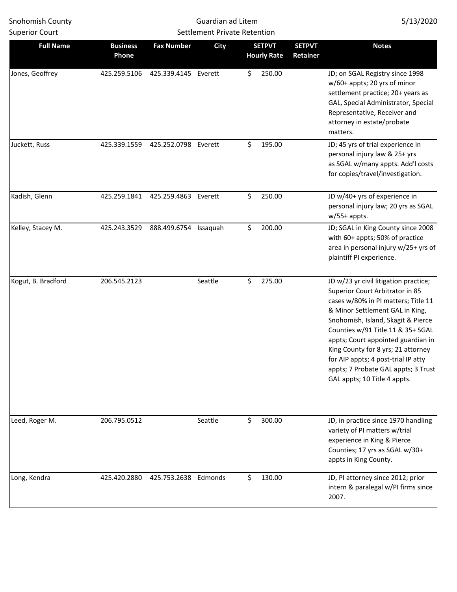| <b>Superior Court</b> |                          | <b>Settlement Private Retention</b> |             |                                     |                           |                                                                                                                                                                                                                                                                                                                                                                                                                         |
|-----------------------|--------------------------|-------------------------------------|-------------|-------------------------------------|---------------------------|-------------------------------------------------------------------------------------------------------------------------------------------------------------------------------------------------------------------------------------------------------------------------------------------------------------------------------------------------------------------------------------------------------------------------|
| <b>Full Name</b>      | <b>Business</b><br>Phone | <b>Fax Number</b>                   | <b>City</b> | <b>SETPVT</b><br><b>Hourly Rate</b> | <b>SETPVT</b><br>Retainer | <b>Notes</b>                                                                                                                                                                                                                                                                                                                                                                                                            |
| Jones, Geoffrey       | 425.259.5106             | 425.339.4145 Everett                |             | \$<br>250.00                        |                           | JD; on SGAL Registry since 1998<br>w/60+ appts; 20 yrs of minor<br>settlement practice; 20+ years as<br>GAL, Special Administrator, Special<br>Representative, Receiver and<br>attorney in estate/probate<br>matters.                                                                                                                                                                                                   |
| Juckett, Russ         | 425.339.1559             | 425.252.0798 Everett                |             | \$<br>195.00                        |                           | JD; 45 yrs of trial experience in<br>personal injury law & 25+ yrs<br>as SGAL w/many appts. Add'l costs<br>for copies/travel/investigation.                                                                                                                                                                                                                                                                             |
| Kadish, Glenn         | 425.259.1841             | 425.259.4863 Everett                |             | \$<br>250.00                        |                           | JD w/40+ yrs of experience in<br>personal injury law; 20 yrs as SGAL<br>$w/55+$ appts.                                                                                                                                                                                                                                                                                                                                  |
| Kelley, Stacey M.     | 425.243.3529             | 888.499.6754 Issaquah               |             | \$<br>200.00                        |                           | JD; SGAL in King County since 2008<br>with 60+ appts; 50% of practice<br>area in personal injury w/25+ yrs of<br>plaintiff PI experience.                                                                                                                                                                                                                                                                               |
| Kogut, B. Bradford    | 206.545.2123             |                                     | Seattle     | \$<br>275.00                        |                           | JD w/23 yr civil litigation practice;<br>Superior Court Arbitrator in 85<br>cases w/80% in PI matters; Title 11<br>& Minor Settlement GAL in King,<br>Snohomish, Island, Skagit & Pierce<br>Counties w/91 Title 11 & 35+ SGAL<br>appts; Court appointed guardian in<br>King County for 8 yrs; 21 attorney<br>for AIP appts; 4 post-trial IP atty<br>appts; 7 Probate GAL appts; 3 Trust<br>GAL appts; 10 Title 4 appts. |
| Leed, Roger M.        | 206.795.0512             |                                     | Seattle     | \$<br>300.00                        |                           | JD, in practice since 1970 handling<br>variety of PI matters w/trial<br>experience in King & Pierce<br>Counties; 17 yrs as SGAL w/30+<br>appts in King County.                                                                                                                                                                                                                                                          |
| Long, Kendra          | 425.420.2880             | 425.753.2638 Edmonds                |             | \$<br>130.00                        |                           | JD, PI attorney since 2012; prior<br>intern & paralegal w/PI firms since<br>2007.                                                                                                                                                                                                                                                                                                                                       |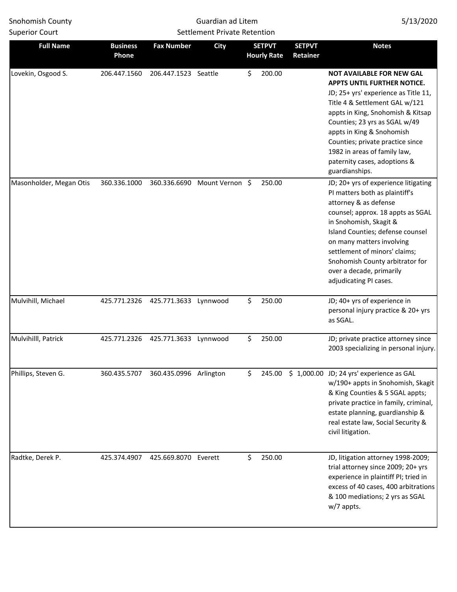| <b>Full Name</b>        | <b>Business</b><br>Phone | <b>Fax Number</b>                   | <b>City</b>     | <b>SETPVT</b><br><b>Hourly Rate</b> |        | <b>SETPVT</b><br>Retainer | <b>Notes</b>                                                                                                                                                                                                                                                                                                                                                       |
|-------------------------|--------------------------|-------------------------------------|-----------------|-------------------------------------|--------|---------------------------|--------------------------------------------------------------------------------------------------------------------------------------------------------------------------------------------------------------------------------------------------------------------------------------------------------------------------------------------------------------------|
| Lovekin, Osgood S.      | 206.447.1560             | 206.447.1523 Seattle                |                 | \$.                                 | 200.00 |                           | <b>NOT AVAILABLE FOR NEW GAL</b><br>APPTS UNTIL FURTHER NOTICE.<br>JD; 25+ yrs' experience as Title 11,<br>Title 4 & Settlement GAL w/121<br>appts in King, Snohomish & Kitsap<br>Counties; 23 yrs as SGAL w/49<br>appts in King & Snohomish<br>Counties; private practice since<br>1982 in areas of family law,<br>paternity cases, adoptions &<br>guardianships. |
| Masonholder, Megan Otis | 360.336.1000             | 360.336.6690                        | Mount Vernon \$ |                                     | 250.00 |                           | JD; 20+ yrs of experience litigating<br>PI matters both as plaintiff's<br>attorney & as defense<br>counsel; approx. 18 appts as SGAL<br>in Snohomish, Skagit &<br>Island Counties; defense counsel<br>on many matters involving<br>settlement of minors' claims;<br>Snohomish County arbitrator for<br>over a decade, primarily<br>adjudicating PI cases.          |
| Mulvihill, Michael      | 425.771.2326             | 425.771.3633 Lynnwood               |                 | \$                                  | 250.00 |                           | JD; 40+ yrs of experience in<br>personal injury practice & 20+ yrs<br>as SGAL.                                                                                                                                                                                                                                                                                     |
| Mulvihilll, Patrick     | 425.771.2326             | 425.771.3633 Lynnwood               |                 | Ś.                                  | 250.00 |                           | JD; private practice attorney since<br>2003 specializing in personal injury.                                                                                                                                                                                                                                                                                       |
| Phillips, Steven G.     |                          | 360.435.5707 360.435.0996 Arlington |                 | \$                                  |        |                           | 245.00 \$ 1,000.00 JD; 24 yrs' experience as GAL<br>w/190+ appts in Snohomish, Skagit<br>& King Counties & 5 SGAL appts;<br>private practice in family, criminal,<br>estate planning, guardianship &<br>real estate law, Social Security &<br>civil litigation.                                                                                                    |
| Radtke, Derek P.        | 425.374.4907             | 425.669.8070 Everett                |                 | \$                                  | 250.00 |                           | JD, litigation attorney 1998-2009;<br>trial attorney since 2009; 20+ yrs<br>experience in plaintiff PI; tried in<br>excess of 40 cases, 400 arbitrations<br>& 100 mediations; 2 yrs as SGAL<br>w/7 appts.                                                                                                                                                          |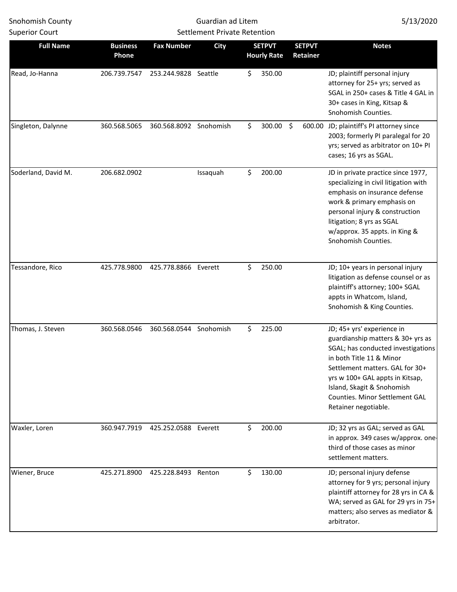| <b>Superior Court</b> |                          | <b>Settlement Private Retention</b> |             |                                     |                           |                                                                                                                                                                                                                                                                                                 |
|-----------------------|--------------------------|-------------------------------------|-------------|-------------------------------------|---------------------------|-------------------------------------------------------------------------------------------------------------------------------------------------------------------------------------------------------------------------------------------------------------------------------------------------|
| <b>Full Name</b>      | <b>Business</b><br>Phone | <b>Fax Number</b>                   | <b>City</b> | <b>SETPVT</b><br><b>Hourly Rate</b> | <b>SETPVT</b><br>Retainer | <b>Notes</b>                                                                                                                                                                                                                                                                                    |
| Read, Jo-Hanna        | 206.739.7547             | 253.244.9828 Seattle                |             | \$<br>350.00                        |                           | JD; plaintiff personal injury<br>attorney for 25+ yrs; served as<br>SGAL in 250+ cases & Title 4 GAL in<br>30+ cases in King, Kitsap &<br>Snohomish Counties.                                                                                                                                   |
| Singleton, Dalynne    | 360.568.5065             | 360.568.8092 Snohomish              |             | \$<br>300.00                        | \$                        | 600.00 JD; plaintiff's PI attorney since<br>2003; formerly PI paralegal for 20<br>yrs; served as arbitrator on 10+ PI<br>cases; 16 yrs as SGAL.                                                                                                                                                 |
| Soderland, David M.   | 206.682.0902             |                                     | Issaquah    | \$<br>200.00                        |                           | JD in private practice since 1977,<br>specializing in civil litigation with<br>emphasis on insurance defense<br>work & primary emphasis on<br>personal injury & construction<br>litigation; 8 yrs as SGAL<br>w/approx. 35 appts. in King &<br>Snohomish Counties.                               |
| Tessandore, Rico      | 425.778.9800             | 425.778.8866                        | Everett     | \$<br>250.00                        |                           | JD; 10+ years in personal injury<br>litigation as defense counsel or as<br>plaintiff's attorney; 100+ SGAL<br>appts in Whatcom, Island,<br>Snohomish & King Counties.                                                                                                                           |
| Thomas, J. Steven     | 360.568.0546             | 360.568.0544 Snohomish              |             | \$<br>225.00                        |                           | JD; 45+ yrs' experience in<br>guardianship matters & 30+ yrs as<br>SGAL; has conducted investigations<br>in both Title 11 & Minor<br>Settlement matters. GAL for 30+<br>yrs w 100+ GAL appts in Kitsap,<br>Island, Skagit & Snohomish<br>Counties. Minor Settlement GAL<br>Retainer negotiable. |
| Waxler, Loren         | 360.947.7919             | 425.252.0588 Everett                |             | \$<br>200.00                        |                           | JD; 32 yrs as GAL; served as GAL<br>in approx. 349 cases w/approx. one-<br>third of those cases as minor<br>settlement matters.                                                                                                                                                                 |
| Wiener, Bruce         | 425.271.8900             | 425.228.8493                        | Renton      | \$<br>130.00                        |                           | JD; personal injury defense<br>attorney for 9 yrs; personal injury<br>plaintiff attorney for 28 yrs in CA &<br>WA; served as GAL for 29 yrs in 75+<br>matters; also serves as mediator &<br>arbitrator.                                                                                         |